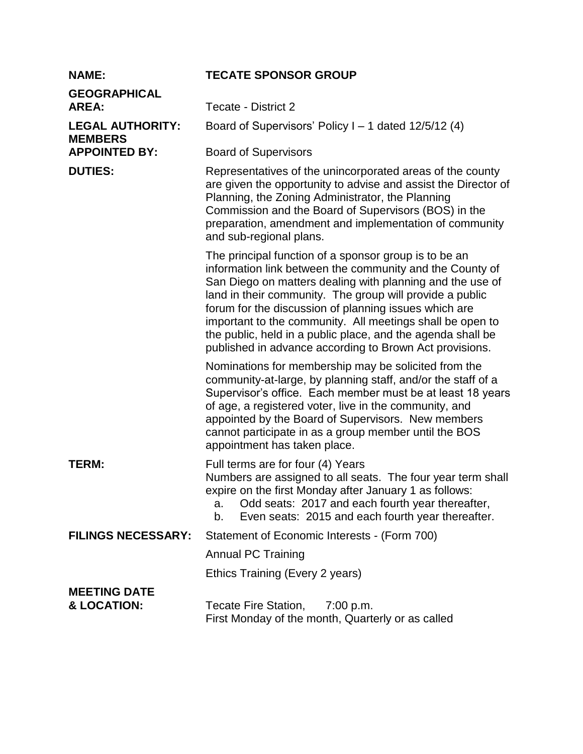| <b>NAME:</b>                              | <b>TECATE SPONSOR GROUP</b>                                                                                                                                                                                                                                                                                                                                                                                                                                                                |
|-------------------------------------------|--------------------------------------------------------------------------------------------------------------------------------------------------------------------------------------------------------------------------------------------------------------------------------------------------------------------------------------------------------------------------------------------------------------------------------------------------------------------------------------------|
| <b>GEOGRAPHICAL</b><br><b>AREA:</b>       | Tecate - District 2                                                                                                                                                                                                                                                                                                                                                                                                                                                                        |
| <b>LEGAL AUTHORITY:</b><br><b>MEMBERS</b> | Board of Supervisors' Policy $I - 1$ dated $12/5/12$ (4)                                                                                                                                                                                                                                                                                                                                                                                                                                   |
| <b>APPOINTED BY:</b>                      | <b>Board of Supervisors</b>                                                                                                                                                                                                                                                                                                                                                                                                                                                                |
| <b>DUTIES:</b>                            | Representatives of the unincorporated areas of the county<br>are given the opportunity to advise and assist the Director of<br>Planning, the Zoning Administrator, the Planning<br>Commission and the Board of Supervisors (BOS) in the<br>preparation, amendment and implementation of community<br>and sub-regional plans.                                                                                                                                                               |
|                                           | The principal function of a sponsor group is to be an<br>information link between the community and the County of<br>San Diego on matters dealing with planning and the use of<br>land in their community. The group will provide a public<br>forum for the discussion of planning issues which are<br>important to the community. All meetings shall be open to<br>the public, held in a public place, and the agenda shall be<br>published in advance according to Brown Act provisions. |
|                                           | Nominations for membership may be solicited from the<br>community-at-large, by planning staff, and/or the staff of a<br>Supervisor's office. Each member must be at least 18 years<br>of age, a registered voter, live in the community, and<br>appointed by the Board of Supervisors. New members<br>cannot participate in as a group member until the BOS<br>appointment has taken place.                                                                                                |
| <b>TERM:</b>                              | Full terms are for four (4) Years<br>Numbers are assigned to all seats. The four year term shall<br>expire on the first Monday after January 1 as follows:<br>Odd seats: 2017 and each fourth year thereafter,<br>a.<br>Even seats: 2015 and each fourth year thereafter.<br>$b_{\cdot}$                                                                                                                                                                                                   |
| <b>FILINGS NECESSARY:</b>                 | Statement of Economic Interests - (Form 700)                                                                                                                                                                                                                                                                                                                                                                                                                                               |
|                                           | <b>Annual PC Training</b>                                                                                                                                                                                                                                                                                                                                                                                                                                                                  |
|                                           | Ethics Training (Every 2 years)                                                                                                                                                                                                                                                                                                                                                                                                                                                            |
| <b>MEETING DATE</b><br>& LOCATION:        | Tecate Fire Station,<br>7:00 p.m.<br>First Monday of the month, Quarterly or as called                                                                                                                                                                                                                                                                                                                                                                                                     |